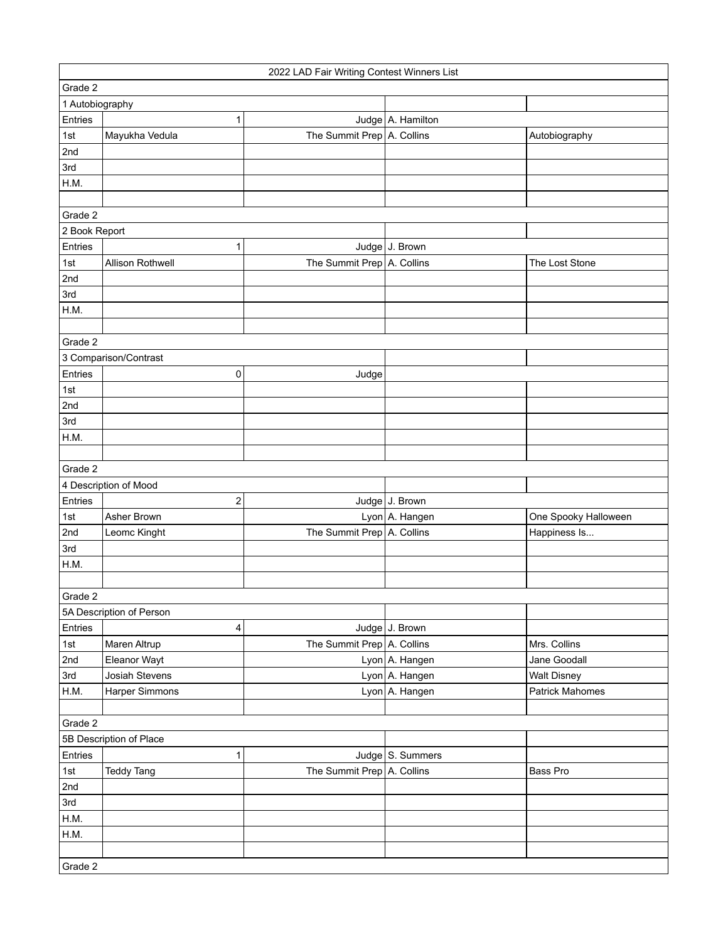|                       | 2022 LAD Fair Writing Contest Winners List |                            |                   |                        |  |
|-----------------------|--------------------------------------------|----------------------------|-------------------|------------------------|--|
| Grade 2               |                                            |                            |                   |                        |  |
| 1 Autobiography       |                                            |                            |                   |                        |  |
| Entries               | 1                                          |                            | Judge A. Hamilton |                        |  |
| 1st                   | Mayukha Vedula                             | The Summit Prep A. Collins |                   | Autobiography          |  |
| 2nd                   |                                            |                            |                   |                        |  |
| 3rd                   |                                            |                            |                   |                        |  |
| H.M.                  |                                            |                            |                   |                        |  |
|                       |                                            |                            |                   |                        |  |
| Grade 2               |                                            |                            |                   |                        |  |
| 2 Book Report         |                                            |                            |                   |                        |  |
| Entries               | 1                                          |                            | Judge J. Brown    |                        |  |
| 1st                   | Allison Rothwell                           | The Summit Prep A. Collins |                   | The Lost Stone         |  |
| 2nd                   |                                            |                            |                   |                        |  |
| 3rd                   |                                            |                            |                   |                        |  |
| H.M.                  |                                            |                            |                   |                        |  |
|                       |                                            |                            |                   |                        |  |
| Grade 2               |                                            |                            |                   |                        |  |
| 3 Comparison/Contrast |                                            |                            |                   |                        |  |
| Entries               | 0                                          | Judge                      |                   |                        |  |
| 1st                   |                                            |                            |                   |                        |  |
| 2nd                   |                                            |                            |                   |                        |  |
| 3rd                   |                                            |                            |                   |                        |  |
| H.M.                  |                                            |                            |                   |                        |  |
|                       |                                            |                            |                   |                        |  |
| Grade 2               |                                            |                            |                   |                        |  |
|                       | 4 Description of Mood                      |                            |                   |                        |  |
| Entries               | $\boldsymbol{2}$                           |                            | Judge J. Brown    |                        |  |
| 1st                   | Asher Brown                                |                            | Lyon A. Hangen    | One Spooky Halloween   |  |
| 2nd                   | Leomc Kinght                               | The Summit Prep A. Collins |                   | Happiness Is           |  |
| 3rd                   |                                            |                            |                   |                        |  |
| H.M.                  |                                            |                            |                   |                        |  |
|                       |                                            |                            |                   |                        |  |
| Grade 2               |                                            |                            |                   |                        |  |
|                       | 5A Description of Person                   |                            |                   |                        |  |
| Entries               | 4                                          |                            | Judge J. Brown    |                        |  |
| 1st                   | Maren Altrup                               | The Summit Prep A. Collins |                   | Mrs. Collins           |  |
| 2nd                   | Eleanor Wayt                               |                            | Lyon A. Hangen    | Jane Goodall           |  |
| 3rd                   | Josiah Stevens                             |                            | Lyon A. Hangen    | <b>Walt Disney</b>     |  |
| H.M.                  | Harper Simmons                             |                            | Lyon A. Hangen    | <b>Patrick Mahomes</b> |  |
|                       |                                            |                            |                   |                        |  |
| Grade 2               |                                            |                            |                   |                        |  |
|                       | 5B Description of Place                    |                            |                   |                        |  |
| Entries               | 1                                          |                            | Judge S. Summers  |                        |  |
| 1st                   | <b>Teddy Tang</b>                          | The Summit Prep A. Collins |                   | Bass Pro               |  |
| 2nd                   |                                            |                            |                   |                        |  |
| 3rd                   |                                            |                            |                   |                        |  |
| H.M.                  |                                            |                            |                   |                        |  |
| H.M.                  |                                            |                            |                   |                        |  |
|                       |                                            |                            |                   |                        |  |
| Grade 2               |                                            |                            |                   |                        |  |
|                       |                                            |                            |                   |                        |  |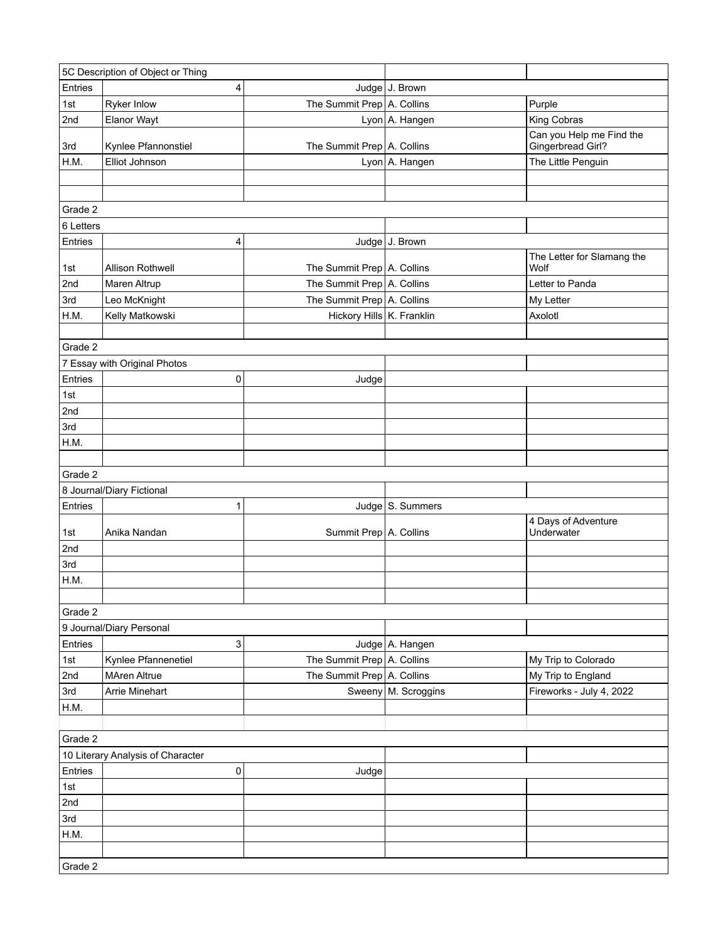| 5C Description of Object or Thing |                                   |                            |                       |                                               |  |
|-----------------------------------|-----------------------------------|----------------------------|-----------------------|-----------------------------------------------|--|
| Entries                           | 4                                 |                            | Judge J. Brown        |                                               |  |
| 1st                               | Ryker Inlow                       | The Summit Prep A. Collins |                       | Purple                                        |  |
| 2nd                               | Elanor Wayt                       |                            | Lyon A. Hangen        | King Cobras                                   |  |
| 3rd                               | Kynlee Pfannonstiel               | The Summit Prep A. Collins |                       | Can you Help me Find the<br>Gingerbread Girl? |  |
| H.M.                              | Elliot Johnson                    |                            | Lyon A. Hangen        | The Little Penguin                            |  |
|                                   |                                   |                            |                       |                                               |  |
|                                   |                                   |                            |                       |                                               |  |
| Grade 2                           |                                   |                            |                       |                                               |  |
| 6 Letters                         |                                   |                            |                       |                                               |  |
| Entries                           | 4                                 |                            | Judge J. Brown        |                                               |  |
| 1st                               | Allison Rothwell                  | The Summit Prep A. Collins |                       | The Letter for Slamang the<br>Wolf            |  |
| 2nd                               | Maren Altrup                      | The Summit Prep A. Collins |                       | Letter to Panda                               |  |
| 3rd                               | Leo McKnight                      | The Summit Prep A. Collins |                       | My Letter                                     |  |
| H.M.                              | Kelly Matkowski                   | Hickory Hills K. Franklin  |                       | Axolotl                                       |  |
|                                   |                                   |                            |                       |                                               |  |
| Grade 2                           |                                   |                            |                       |                                               |  |
|                                   | 7 Essay with Original Photos      |                            |                       |                                               |  |
| Entries                           | 0                                 | Judge                      |                       |                                               |  |
| 1st                               |                                   |                            |                       |                                               |  |
| 2nd                               |                                   |                            |                       |                                               |  |
| 3rd                               |                                   |                            |                       |                                               |  |
| H.M.                              |                                   |                            |                       |                                               |  |
|                                   |                                   |                            |                       |                                               |  |
| Grade 2                           |                                   |                            |                       |                                               |  |
|                                   | 8 Journal/Diary Fictional         |                            |                       |                                               |  |
| Entries                           | 1                                 |                            | Judge S. Summers      |                                               |  |
| 1st                               | Anika Nandan                      | Summit Prep A. Collins     |                       | 4 Days of Adventure<br>Underwater             |  |
| 2nd                               |                                   |                            |                       |                                               |  |
| 3rd                               |                                   |                            |                       |                                               |  |
| H.M.                              |                                   |                            |                       |                                               |  |
|                                   |                                   |                            |                       |                                               |  |
| Grade 2                           |                                   |                            |                       |                                               |  |
|                                   | 9 Journal/Diary Personal          |                            |                       |                                               |  |
| Entries                           | 3                                 |                            | Judge A. Hangen       |                                               |  |
| 1st                               | Kynlee Pfannenetiel               | The Summit Prep A. Collins |                       | My Trip to Colorado                           |  |
| 2nd                               | <b>MAren Altrue</b>               | The Summit Prep A. Collins |                       | My Trip to England                            |  |
| 3rd                               | Arrie Minehart                    |                            | Sweeny   M. Scroggins | Fireworks - July 4, 2022                      |  |
| H.M.                              |                                   |                            |                       |                                               |  |
|                                   |                                   |                            |                       |                                               |  |
| Grade 2                           |                                   |                            |                       |                                               |  |
|                                   | 10 Literary Analysis of Character |                            |                       |                                               |  |
| Entries                           | 0                                 | Judge                      |                       |                                               |  |
| 1st                               |                                   |                            |                       |                                               |  |
| 2nd                               |                                   |                            |                       |                                               |  |
| 3rd                               |                                   |                            |                       |                                               |  |
| H.M.                              |                                   |                            |                       |                                               |  |
|                                   |                                   |                            |                       |                                               |  |
| Grade 2                           |                                   |                            |                       |                                               |  |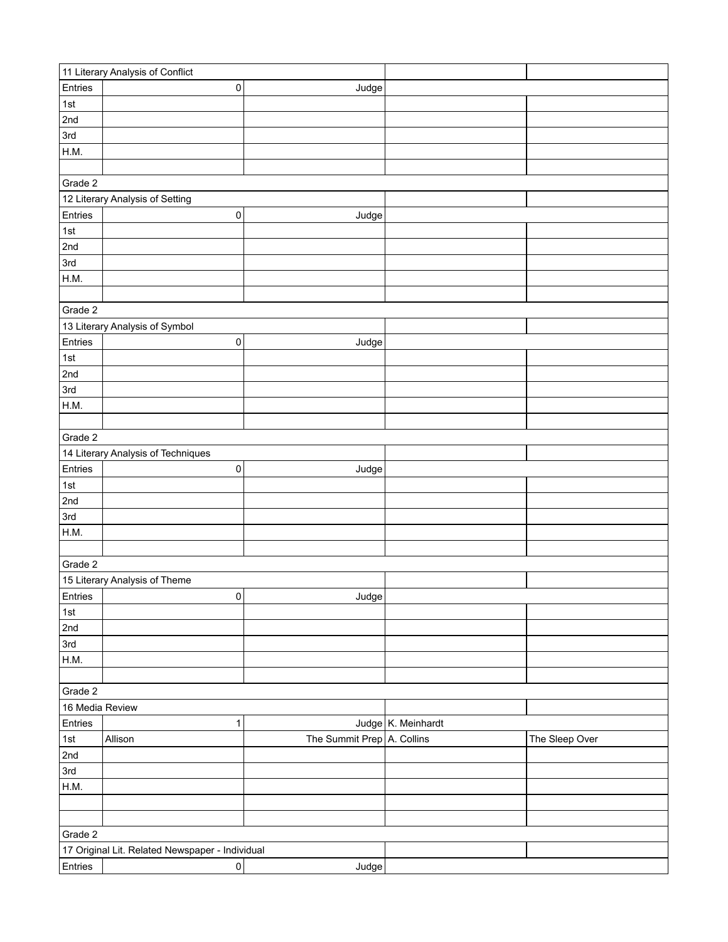|                 | 11 Literary Analysis of Conflict                |                            |                       |                |  |  |
|-----------------|-------------------------------------------------|----------------------------|-----------------------|----------------|--|--|
| Entries         | 0                                               | Judge                      |                       |                |  |  |
| 1st             |                                                 |                            |                       |                |  |  |
| 2nd             |                                                 |                            |                       |                |  |  |
| 3rd             |                                                 |                            |                       |                |  |  |
| H.M.            |                                                 |                            |                       |                |  |  |
|                 |                                                 |                            |                       |                |  |  |
| Grade 2         |                                                 |                            |                       |                |  |  |
|                 | 12 Literary Analysis of Setting                 |                            |                       |                |  |  |
| Entries         | 0                                               | Judge                      |                       |                |  |  |
| 1st             |                                                 |                            |                       |                |  |  |
| 2nd             |                                                 |                            |                       |                |  |  |
| 3rd             |                                                 |                            |                       |                |  |  |
| H.M.            |                                                 |                            |                       |                |  |  |
|                 |                                                 |                            |                       |                |  |  |
|                 |                                                 |                            |                       |                |  |  |
| Grade 2         |                                                 |                            |                       |                |  |  |
|                 | 13 Literary Analysis of Symbol                  |                            |                       |                |  |  |
| Entries         | 0                                               | Judge                      |                       |                |  |  |
| 1st             |                                                 |                            |                       |                |  |  |
| 2nd             |                                                 |                            |                       |                |  |  |
| 3rd             |                                                 |                            |                       |                |  |  |
| H.M.            |                                                 |                            |                       |                |  |  |
|                 |                                                 |                            |                       |                |  |  |
|                 | Grade 2                                         |                            |                       |                |  |  |
|                 | 14 Literary Analysis of Techniques              |                            |                       |                |  |  |
| Entries         | $\pmb{0}$                                       | Judge                      |                       |                |  |  |
| 1st             |                                                 |                            |                       |                |  |  |
| 2nd             |                                                 |                            |                       |                |  |  |
| 3rd             |                                                 |                            |                       |                |  |  |
| H.M.            |                                                 |                            |                       |                |  |  |
|                 |                                                 |                            |                       |                |  |  |
| Grade 2         |                                                 |                            |                       |                |  |  |
|                 | 15 Literary Analysis of Theme                   |                            |                       |                |  |  |
| Entries         | 0                                               | Judge                      |                       |                |  |  |
| $1st$           |                                                 |                            |                       |                |  |  |
| 2nd             |                                                 |                            |                       |                |  |  |
| 3rd             |                                                 |                            |                       |                |  |  |
| H.M.            |                                                 |                            |                       |                |  |  |
|                 |                                                 |                            |                       |                |  |  |
| Grade 2         |                                                 |                            |                       |                |  |  |
| 16 Media Review |                                                 |                            |                       |                |  |  |
| Entries         | 1                                               |                            | Judge $K$ . Meinhardt |                |  |  |
| 1st             | Allison                                         | The Summit Prep A. Collins |                       | The Sleep Over |  |  |
| 2nd             |                                                 |                            |                       |                |  |  |
| 3rd             |                                                 |                            |                       |                |  |  |
|                 |                                                 |                            |                       |                |  |  |
| H.M.            |                                                 |                            |                       |                |  |  |
|                 |                                                 |                            |                       |                |  |  |
|                 |                                                 |                            |                       |                |  |  |
|                 | Grade 2                                         |                            |                       |                |  |  |
|                 | 17 Original Lit. Related Newspaper - Individual |                            |                       |                |  |  |
| Entries         | 0                                               | Judge                      |                       |                |  |  |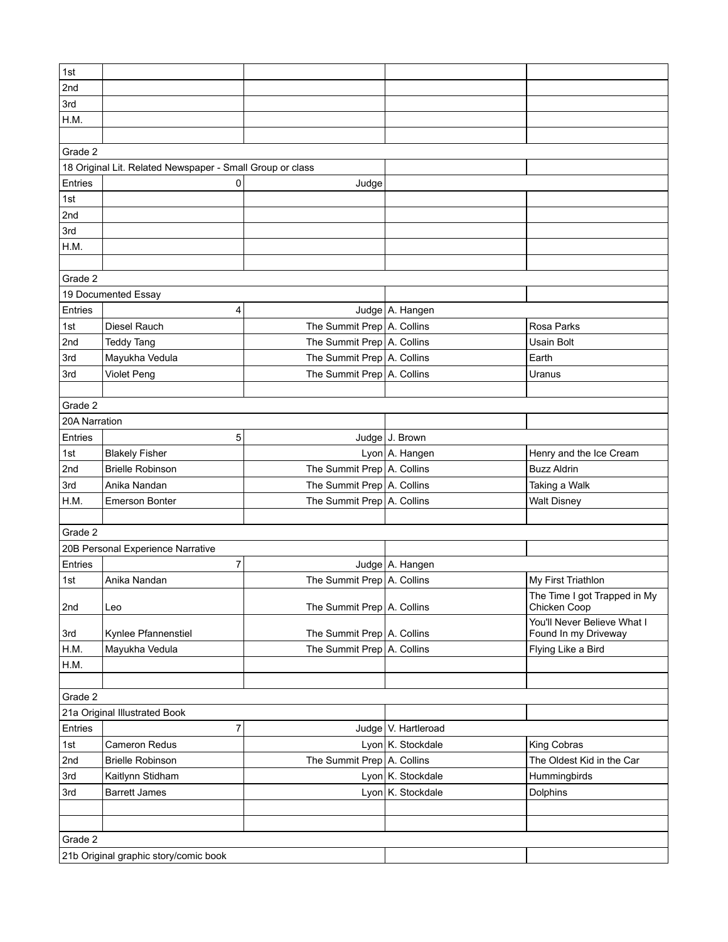| 1st           |                                                           |                                                          |                       |                                                     |  |
|---------------|-----------------------------------------------------------|----------------------------------------------------------|-----------------------|-----------------------------------------------------|--|
| 2nd           |                                                           |                                                          |                       |                                                     |  |
| 3rd           |                                                           |                                                          |                       |                                                     |  |
| H.M.          |                                                           |                                                          |                       |                                                     |  |
|               |                                                           |                                                          |                       |                                                     |  |
| Grade 2       |                                                           |                                                          |                       |                                                     |  |
|               | 18 Original Lit. Related Newspaper - Small Group or class |                                                          |                       |                                                     |  |
| Entries       | 0                                                         | Judge                                                    |                       |                                                     |  |
| 1st           |                                                           |                                                          |                       |                                                     |  |
| 2nd           |                                                           |                                                          |                       |                                                     |  |
| 3rd           |                                                           |                                                          |                       |                                                     |  |
| H.M.          |                                                           |                                                          |                       |                                                     |  |
|               |                                                           |                                                          |                       |                                                     |  |
| Grade 2       |                                                           |                                                          |                       |                                                     |  |
|               | 19 Documented Essay                                       |                                                          |                       |                                                     |  |
| Entries       | 4                                                         |                                                          | Judge A. Hangen       |                                                     |  |
| 1st           | Diesel Rauch                                              | The Summit Prep A. Collins                               |                       | Rosa Parks                                          |  |
| 2nd           | <b>Teddy Tang</b>                                         | The Summit Prep   A. Collins                             |                       | <b>Usain Bolt</b>                                   |  |
| 3rd           | Mayukha Vedula                                            | The Summit Prep A. Collins                               |                       | Earth                                               |  |
| 3rd           | Violet Peng                                               | The Summit Prep A. Collins                               |                       | Uranus                                              |  |
|               |                                                           |                                                          |                       |                                                     |  |
| Grade 2       |                                                           |                                                          |                       |                                                     |  |
| 20A Narration |                                                           |                                                          |                       |                                                     |  |
| Entries       | 5                                                         |                                                          | Judge J. Brown        |                                                     |  |
| 1st           | <b>Blakely Fisher</b>                                     |                                                          | Lyon A. Hangen        | Henry and the Ice Cream                             |  |
| 2nd           | <b>Brielle Robinson</b>                                   | The Summit Prep A. Collins                               |                       | <b>Buzz Aldrin</b>                                  |  |
| 3rd           | Anika Nandan                                              | The Summit Prep A. Collins                               |                       | Taking a Walk                                       |  |
| H.M.          | <b>Emerson Bonter</b>                                     | The Summit Prep A. Collins                               |                       | <b>Walt Disney</b>                                  |  |
|               |                                                           |                                                          |                       |                                                     |  |
| Grade 2       |                                                           |                                                          |                       |                                                     |  |
|               | 20B Personal Experience Narrative                         |                                                          |                       |                                                     |  |
| Entries       | $\overline{7}$                                            |                                                          | Judge   A. Hangen     |                                                     |  |
| 1st           | Anika Nandan                                              | The Summit Prep A. Collins                               |                       | My First Triathlon                                  |  |
|               |                                                           |                                                          |                       | The Time I got Trapped in My                        |  |
| 2nd           | Leo                                                       | The Summit Prep   A. Collins                             |                       | Chicken Coop                                        |  |
|               |                                                           |                                                          |                       | You'll Never Believe What I<br>Found In my Driveway |  |
| 3rd           | Kynlee Pfannenstiel                                       | The Summit Prep A. Collins<br>The Summit Prep A. Collins |                       |                                                     |  |
| H.M.<br>H.M.  | Mayukha Vedula                                            |                                                          |                       | Flying Like a Bird                                  |  |
|               |                                                           |                                                          |                       |                                                     |  |
| Grade 2       |                                                           |                                                          |                       |                                                     |  |
|               | 21a Original Illustrated Book                             |                                                          |                       |                                                     |  |
| Entries       | 7                                                         |                                                          | Judge   V. Hartleroad |                                                     |  |
| 1st           | <b>Cameron Redus</b>                                      |                                                          | Lyon K. Stockdale     | King Cobras                                         |  |
| 2nd           | <b>Brielle Robinson</b>                                   | The Summit Prep A. Collins                               |                       | The Oldest Kid in the Car                           |  |
| 3rd           |                                                           |                                                          | Lyon K. Stockdale     | Hummingbirds                                        |  |
| 3rd           | Kaitlynn Stidham<br><b>Barrett James</b>                  |                                                          | Lyon K. Stockdale     | Dolphins                                            |  |
|               |                                                           |                                                          |                       |                                                     |  |
|               |                                                           |                                                          |                       |                                                     |  |
|               |                                                           |                                                          |                       |                                                     |  |
| Grade 2       |                                                           |                                                          |                       |                                                     |  |
|               | 21b Original graphic story/comic book                     |                                                          |                       |                                                     |  |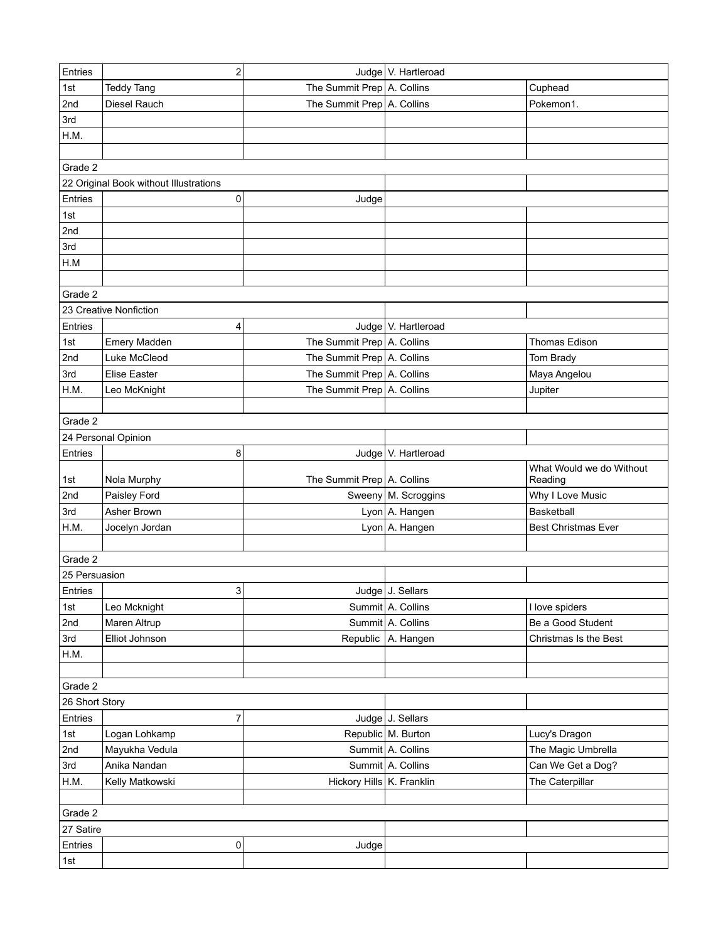| Entries         | $\overline{2}$                         |                              | Judge   V. Hartleroad |                            |
|-----------------|----------------------------------------|------------------------------|-----------------------|----------------------------|
| 1st             | <b>Teddy Tang</b>                      | The Summit Prep A. Collins   |                       | Cuphead                    |
| 2nd             | Diesel Rauch                           | The Summit Prep A. Collins   |                       | Pokemon1.                  |
| 3rd             |                                        |                              |                       |                            |
| H.M.            |                                        |                              |                       |                            |
|                 |                                        |                              |                       |                            |
| Grade 2         |                                        |                              |                       |                            |
|                 | 22 Original Book without Illustrations |                              |                       |                            |
| Entries         | 0                                      | Judge                        |                       |                            |
| 1st             |                                        |                              |                       |                            |
| 2 <sub>nd</sub> |                                        |                              |                       |                            |
| 3rd             |                                        |                              |                       |                            |
| H.M             |                                        |                              |                       |                            |
|                 |                                        |                              |                       |                            |
| Grade 2         |                                        |                              |                       |                            |
|                 | 23 Creative Nonfiction                 |                              |                       |                            |
| Entries         | 4                                      |                              | Judge   V. Hartleroad |                            |
| 1st             | Emery Madden                           | The Summit Prep A. Collins   |                       | Thomas Edison              |
| 2nd             | Luke McCleod                           | The Summit Prep A. Collins   |                       | Tom Brady                  |
| 3rd             | <b>Elise Easter</b>                    | The Summit Prep A. Collins   |                       | Maya Angelou               |
| H.M.            | Leo McKnight                           | The Summit Prep A. Collins   |                       | Jupiter                    |
|                 |                                        |                              |                       |                            |
| Grade 2         |                                        |                              |                       |                            |
|                 | 24 Personal Opinion                    |                              |                       |                            |
| Entries         | 8                                      |                              | Judge   V. Hartleroad |                            |
|                 |                                        |                              |                       | What Would we do Without   |
| 1st             | Nola Murphy                            | The Summit Prep   A. Collins |                       | Reading                    |
| 2nd             | Paisley Ford                           |                              | Sweeny   M. Scroggins | Why I Love Music           |
| 3rd             | Asher Brown                            |                              | Lyon A. Hangen        | Basketball                 |
| H.M.            | Jocelyn Jordan                         |                              | Lyon A. Hangen        | <b>Best Christmas Ever</b> |
|                 |                                        |                              |                       |                            |
| Grade 2         |                                        |                              |                       |                            |
| 25 Persuasion   |                                        |                              |                       |                            |
| Entries         | 3                                      |                              | Judge J. Sellars      |                            |
| 1st             | Leo Mcknight                           |                              | Summit A. Collins     | I love spiders             |
| 2nd             | Maren Altrup                           |                              | Summit A. Collins     | Be a Good Student          |
| 3rd             | Elliot Johnson                         |                              | Republic A. Hangen    | Christmas Is the Best      |
| H.M.            |                                        |                              |                       |                            |
|                 |                                        |                              |                       |                            |
| Grade 2         |                                        |                              |                       |                            |
| 26 Short Story  |                                        |                              |                       |                            |
| Entries         | 7                                      |                              | Judge J. Sellars      |                            |
| 1st             | Logan Lohkamp                          |                              | Republic M. Burton    | Lucy's Dragon              |
| 2nd             | Mayukha Vedula                         |                              | Summit A. Collins     | The Magic Umbrella         |
| 3rd             | Anika Nandan                           |                              | Summit A. Collins     | Can We Get a Dog?          |
| H.M.            | Kelly Matkowski                        | Hickory Hills K. Franklin    |                       | The Caterpillar            |
|                 |                                        |                              |                       |                            |
| Grade 2         |                                        |                              |                       |                            |
| 27 Satire       |                                        |                              |                       |                            |
| Entries         | 0                                      | Judge                        |                       |                            |
| 1st             |                                        |                              |                       |                            |
|                 |                                        |                              |                       |                            |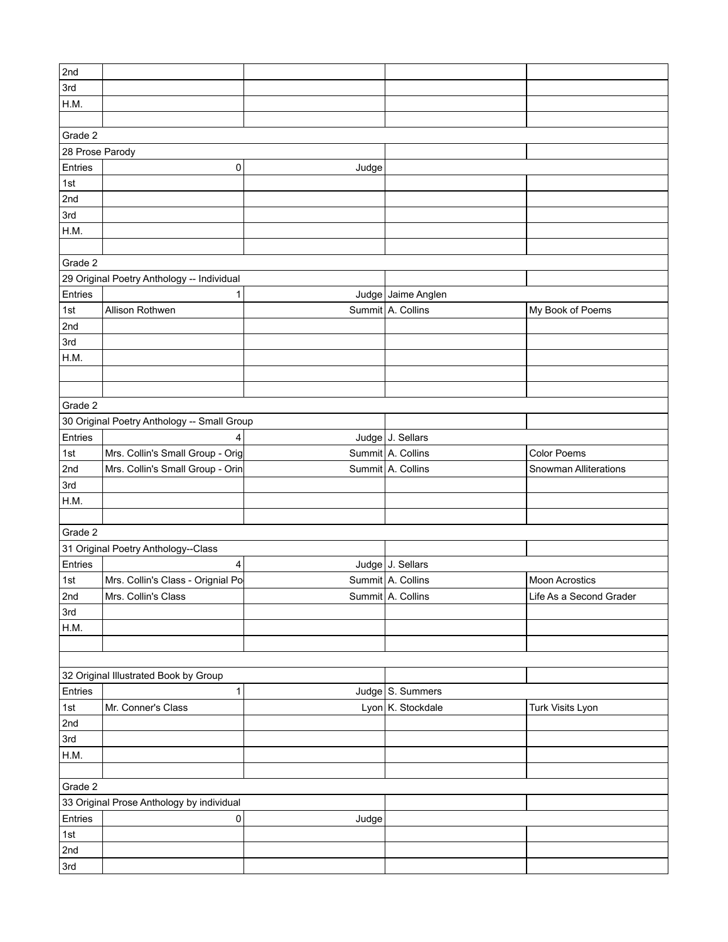| 3rd<br>H.M.<br>Grade 2<br>28 Prose Parody<br>Entries<br>0<br>Judge<br>1st<br>2nd<br>3rd<br>H.M.<br>Grade 2<br>29 Original Poetry Anthology -- Individual<br>Judge Jaime Anglen<br>1<br>Summit A. Collins<br>1st<br>Allison Rothwen<br>My Book of Poems<br>3rd<br>Grade 2<br>30 Original Poetry Anthology -- Small Group<br>Entries<br>Judge J. Sellars<br>4<br>Summit A. Collins<br>Mrs. Collin's Small Group - Orig<br>1st<br>Color Poems<br>Summit A. Collins<br>Mrs. Collin's Small Group - Orin<br>2nd<br>Snowman Alliterations<br>3rd<br>H.M.<br>Grade 2<br>31 Original Poetry Anthology--Class<br>Entries<br>Judge J. Sellars<br>4<br>Mrs. Collin's Class - Orignial Po<br>Summit A. Collins<br>1st<br><b>Moon Acrostics</b><br>2nd<br>Mrs. Collin's Class<br>Summit A. Collins<br>Life As a Second Grader<br>3rd<br>H.M.<br>32 Original Illustrated Book by Group<br>Entries<br>Judge S. Summers<br>1<br>Lyon K. Stockdale<br>1st<br>Mr. Conner's Class<br>Turk Visits Lyon<br>3rd<br>H.M.<br>Grade 2<br>33 Original Prose Anthology by individual<br>Entries<br>0<br>Judge<br>1st<br>2nd | 2nd     |  |  |  |  |  |  |
|--------------------------------------------------------------------------------------------------------------------------------------------------------------------------------------------------------------------------------------------------------------------------------------------------------------------------------------------------------------------------------------------------------------------------------------------------------------------------------------------------------------------------------------------------------------------------------------------------------------------------------------------------------------------------------------------------------------------------------------------------------------------------------------------------------------------------------------------------------------------------------------------------------------------------------------------------------------------------------------------------------------------------------------------------------------------------------------------------|---------|--|--|--|--|--|--|
|                                                                                                                                                                                                                                                                                                                                                                                                                                                                                                                                                                                                                                                                                                                                                                                                                                                                                                                                                                                                                                                                                                  |         |  |  |  |  |  |  |
|                                                                                                                                                                                                                                                                                                                                                                                                                                                                                                                                                                                                                                                                                                                                                                                                                                                                                                                                                                                                                                                                                                  |         |  |  |  |  |  |  |
|                                                                                                                                                                                                                                                                                                                                                                                                                                                                                                                                                                                                                                                                                                                                                                                                                                                                                                                                                                                                                                                                                                  |         |  |  |  |  |  |  |
|                                                                                                                                                                                                                                                                                                                                                                                                                                                                                                                                                                                                                                                                                                                                                                                                                                                                                                                                                                                                                                                                                                  |         |  |  |  |  |  |  |
|                                                                                                                                                                                                                                                                                                                                                                                                                                                                                                                                                                                                                                                                                                                                                                                                                                                                                                                                                                                                                                                                                                  |         |  |  |  |  |  |  |
|                                                                                                                                                                                                                                                                                                                                                                                                                                                                                                                                                                                                                                                                                                                                                                                                                                                                                                                                                                                                                                                                                                  |         |  |  |  |  |  |  |
|                                                                                                                                                                                                                                                                                                                                                                                                                                                                                                                                                                                                                                                                                                                                                                                                                                                                                                                                                                                                                                                                                                  |         |  |  |  |  |  |  |
|                                                                                                                                                                                                                                                                                                                                                                                                                                                                                                                                                                                                                                                                                                                                                                                                                                                                                                                                                                                                                                                                                                  |         |  |  |  |  |  |  |
|                                                                                                                                                                                                                                                                                                                                                                                                                                                                                                                                                                                                                                                                                                                                                                                                                                                                                                                                                                                                                                                                                                  |         |  |  |  |  |  |  |
|                                                                                                                                                                                                                                                                                                                                                                                                                                                                                                                                                                                                                                                                                                                                                                                                                                                                                                                                                                                                                                                                                                  |         |  |  |  |  |  |  |
|                                                                                                                                                                                                                                                                                                                                                                                                                                                                                                                                                                                                                                                                                                                                                                                                                                                                                                                                                                                                                                                                                                  |         |  |  |  |  |  |  |
|                                                                                                                                                                                                                                                                                                                                                                                                                                                                                                                                                                                                                                                                                                                                                                                                                                                                                                                                                                                                                                                                                                  |         |  |  |  |  |  |  |
|                                                                                                                                                                                                                                                                                                                                                                                                                                                                                                                                                                                                                                                                                                                                                                                                                                                                                                                                                                                                                                                                                                  |         |  |  |  |  |  |  |
|                                                                                                                                                                                                                                                                                                                                                                                                                                                                                                                                                                                                                                                                                                                                                                                                                                                                                                                                                                                                                                                                                                  |         |  |  |  |  |  |  |
|                                                                                                                                                                                                                                                                                                                                                                                                                                                                                                                                                                                                                                                                                                                                                                                                                                                                                                                                                                                                                                                                                                  | Entries |  |  |  |  |  |  |
|                                                                                                                                                                                                                                                                                                                                                                                                                                                                                                                                                                                                                                                                                                                                                                                                                                                                                                                                                                                                                                                                                                  |         |  |  |  |  |  |  |
|                                                                                                                                                                                                                                                                                                                                                                                                                                                                                                                                                                                                                                                                                                                                                                                                                                                                                                                                                                                                                                                                                                  | 2nd     |  |  |  |  |  |  |
|                                                                                                                                                                                                                                                                                                                                                                                                                                                                                                                                                                                                                                                                                                                                                                                                                                                                                                                                                                                                                                                                                                  |         |  |  |  |  |  |  |
|                                                                                                                                                                                                                                                                                                                                                                                                                                                                                                                                                                                                                                                                                                                                                                                                                                                                                                                                                                                                                                                                                                  | H.M.    |  |  |  |  |  |  |
|                                                                                                                                                                                                                                                                                                                                                                                                                                                                                                                                                                                                                                                                                                                                                                                                                                                                                                                                                                                                                                                                                                  |         |  |  |  |  |  |  |
|                                                                                                                                                                                                                                                                                                                                                                                                                                                                                                                                                                                                                                                                                                                                                                                                                                                                                                                                                                                                                                                                                                  |         |  |  |  |  |  |  |
|                                                                                                                                                                                                                                                                                                                                                                                                                                                                                                                                                                                                                                                                                                                                                                                                                                                                                                                                                                                                                                                                                                  |         |  |  |  |  |  |  |
|                                                                                                                                                                                                                                                                                                                                                                                                                                                                                                                                                                                                                                                                                                                                                                                                                                                                                                                                                                                                                                                                                                  |         |  |  |  |  |  |  |
|                                                                                                                                                                                                                                                                                                                                                                                                                                                                                                                                                                                                                                                                                                                                                                                                                                                                                                                                                                                                                                                                                                  |         |  |  |  |  |  |  |
|                                                                                                                                                                                                                                                                                                                                                                                                                                                                                                                                                                                                                                                                                                                                                                                                                                                                                                                                                                                                                                                                                                  |         |  |  |  |  |  |  |
|                                                                                                                                                                                                                                                                                                                                                                                                                                                                                                                                                                                                                                                                                                                                                                                                                                                                                                                                                                                                                                                                                                  |         |  |  |  |  |  |  |
|                                                                                                                                                                                                                                                                                                                                                                                                                                                                                                                                                                                                                                                                                                                                                                                                                                                                                                                                                                                                                                                                                                  |         |  |  |  |  |  |  |
|                                                                                                                                                                                                                                                                                                                                                                                                                                                                                                                                                                                                                                                                                                                                                                                                                                                                                                                                                                                                                                                                                                  |         |  |  |  |  |  |  |
|                                                                                                                                                                                                                                                                                                                                                                                                                                                                                                                                                                                                                                                                                                                                                                                                                                                                                                                                                                                                                                                                                                  |         |  |  |  |  |  |  |
|                                                                                                                                                                                                                                                                                                                                                                                                                                                                                                                                                                                                                                                                                                                                                                                                                                                                                                                                                                                                                                                                                                  |         |  |  |  |  |  |  |
|                                                                                                                                                                                                                                                                                                                                                                                                                                                                                                                                                                                                                                                                                                                                                                                                                                                                                                                                                                                                                                                                                                  |         |  |  |  |  |  |  |
|                                                                                                                                                                                                                                                                                                                                                                                                                                                                                                                                                                                                                                                                                                                                                                                                                                                                                                                                                                                                                                                                                                  |         |  |  |  |  |  |  |
|                                                                                                                                                                                                                                                                                                                                                                                                                                                                                                                                                                                                                                                                                                                                                                                                                                                                                                                                                                                                                                                                                                  |         |  |  |  |  |  |  |
|                                                                                                                                                                                                                                                                                                                                                                                                                                                                                                                                                                                                                                                                                                                                                                                                                                                                                                                                                                                                                                                                                                  |         |  |  |  |  |  |  |
|                                                                                                                                                                                                                                                                                                                                                                                                                                                                                                                                                                                                                                                                                                                                                                                                                                                                                                                                                                                                                                                                                                  |         |  |  |  |  |  |  |
|                                                                                                                                                                                                                                                                                                                                                                                                                                                                                                                                                                                                                                                                                                                                                                                                                                                                                                                                                                                                                                                                                                  |         |  |  |  |  |  |  |
|                                                                                                                                                                                                                                                                                                                                                                                                                                                                                                                                                                                                                                                                                                                                                                                                                                                                                                                                                                                                                                                                                                  |         |  |  |  |  |  |  |
|                                                                                                                                                                                                                                                                                                                                                                                                                                                                                                                                                                                                                                                                                                                                                                                                                                                                                                                                                                                                                                                                                                  |         |  |  |  |  |  |  |
|                                                                                                                                                                                                                                                                                                                                                                                                                                                                                                                                                                                                                                                                                                                                                                                                                                                                                                                                                                                                                                                                                                  |         |  |  |  |  |  |  |
|                                                                                                                                                                                                                                                                                                                                                                                                                                                                                                                                                                                                                                                                                                                                                                                                                                                                                                                                                                                                                                                                                                  |         |  |  |  |  |  |  |
|                                                                                                                                                                                                                                                                                                                                                                                                                                                                                                                                                                                                                                                                                                                                                                                                                                                                                                                                                                                                                                                                                                  |         |  |  |  |  |  |  |
|                                                                                                                                                                                                                                                                                                                                                                                                                                                                                                                                                                                                                                                                                                                                                                                                                                                                                                                                                                                                                                                                                                  |         |  |  |  |  |  |  |
|                                                                                                                                                                                                                                                                                                                                                                                                                                                                                                                                                                                                                                                                                                                                                                                                                                                                                                                                                                                                                                                                                                  | 2nd     |  |  |  |  |  |  |
|                                                                                                                                                                                                                                                                                                                                                                                                                                                                                                                                                                                                                                                                                                                                                                                                                                                                                                                                                                                                                                                                                                  |         |  |  |  |  |  |  |
|                                                                                                                                                                                                                                                                                                                                                                                                                                                                                                                                                                                                                                                                                                                                                                                                                                                                                                                                                                                                                                                                                                  |         |  |  |  |  |  |  |
|                                                                                                                                                                                                                                                                                                                                                                                                                                                                                                                                                                                                                                                                                                                                                                                                                                                                                                                                                                                                                                                                                                  |         |  |  |  |  |  |  |
|                                                                                                                                                                                                                                                                                                                                                                                                                                                                                                                                                                                                                                                                                                                                                                                                                                                                                                                                                                                                                                                                                                  |         |  |  |  |  |  |  |
|                                                                                                                                                                                                                                                                                                                                                                                                                                                                                                                                                                                                                                                                                                                                                                                                                                                                                                                                                                                                                                                                                                  |         |  |  |  |  |  |  |
|                                                                                                                                                                                                                                                                                                                                                                                                                                                                                                                                                                                                                                                                                                                                                                                                                                                                                                                                                                                                                                                                                                  |         |  |  |  |  |  |  |
|                                                                                                                                                                                                                                                                                                                                                                                                                                                                                                                                                                                                                                                                                                                                                                                                                                                                                                                                                                                                                                                                                                  |         |  |  |  |  |  |  |
|                                                                                                                                                                                                                                                                                                                                                                                                                                                                                                                                                                                                                                                                                                                                                                                                                                                                                                                                                                                                                                                                                                  |         |  |  |  |  |  |  |
| 3rd                                                                                                                                                                                                                                                                                                                                                                                                                                                                                                                                                                                                                                                                                                                                                                                                                                                                                                                                                                                                                                                                                              |         |  |  |  |  |  |  |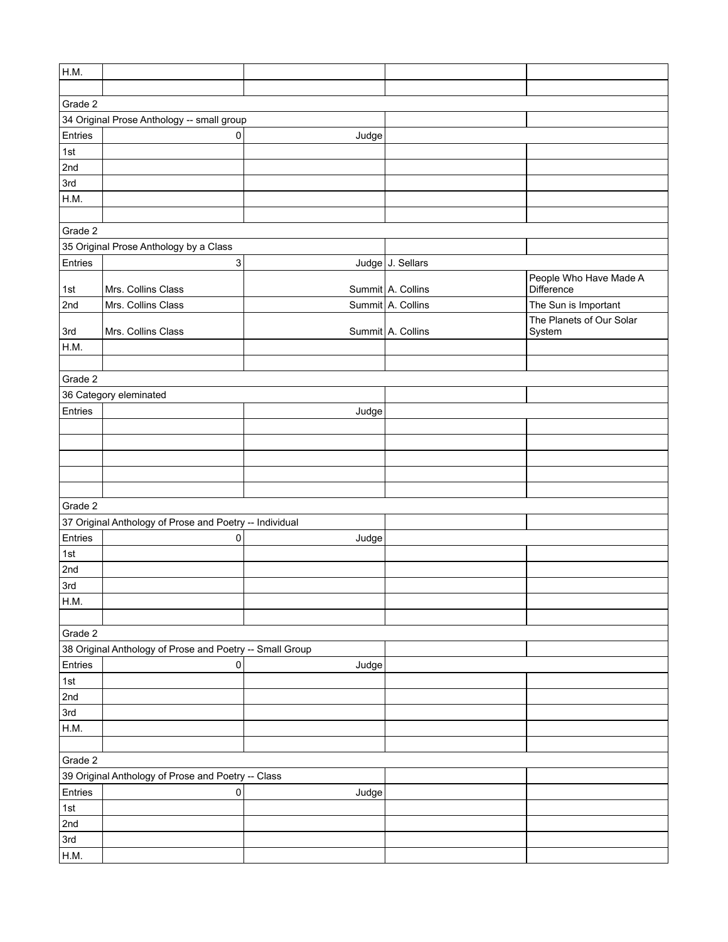| ∣н.м.   |                                                          |       |                   |                          |
|---------|----------------------------------------------------------|-------|-------------------|--------------------------|
|         |                                                          |       |                   |                          |
| Grade 2 |                                                          |       |                   |                          |
|         | 34 Original Prose Anthology -- small group               |       |                   |                          |
| Entries | 0                                                        | Judge |                   |                          |
| 1st     |                                                          |       |                   |                          |
| 2nd     |                                                          |       |                   |                          |
| 3rd     |                                                          |       |                   |                          |
| H.M.    |                                                          |       |                   |                          |
|         |                                                          |       |                   |                          |
| Grade 2 |                                                          |       |                   |                          |
|         | 35 Original Prose Anthology by a Class                   |       |                   |                          |
| Entries | $\ensuremath{\mathsf{3}}$                                |       | Judge J. Sellars  |                          |
|         |                                                          |       |                   | People Who Have Made A   |
| 1st     | Mrs. Collins Class                                       |       | Summit A. Collins | Difference               |
| 2nd     | Mrs. Collins Class                                       |       | Summit A. Collins | The Sun is Important     |
|         |                                                          |       |                   | The Planets of Our Solar |
| 3rd     | Mrs. Collins Class                                       |       | Summit A. Collins | System                   |
| H.M.    |                                                          |       |                   |                          |
|         |                                                          |       |                   |                          |
| Grade 2 |                                                          |       |                   |                          |
|         | 36 Category eleminated                                   |       |                   |                          |
| Entries |                                                          | Judge |                   |                          |
|         |                                                          |       |                   |                          |
|         |                                                          |       |                   |                          |
|         |                                                          |       |                   |                          |
|         |                                                          |       |                   |                          |
|         |                                                          |       |                   |                          |
| Grade 2 |                                                          |       |                   |                          |
|         | 37 Original Anthology of Prose and Poetry -- Individual  |       |                   |                          |
| Entries | 0                                                        | Judge |                   |                          |
| 1st     |                                                          |       |                   |                          |
| 2nd     |                                                          |       |                   |                          |
| 3rd     |                                                          |       |                   |                          |
| H.M.    |                                                          |       |                   |                          |
|         |                                                          |       |                   |                          |
| Grade 2 |                                                          |       |                   |                          |
|         | 38 Original Anthology of Prose and Poetry -- Small Group |       |                   |                          |
| Entries | 0                                                        | Judge |                   |                          |
| 1st     |                                                          |       |                   |                          |
| 2nd     |                                                          |       |                   |                          |
| 3rd     |                                                          |       |                   |                          |
| H.M.    |                                                          |       |                   |                          |
|         |                                                          |       |                   |                          |
| Grade 2 |                                                          |       |                   |                          |
|         | 39 Original Anthology of Prose and Poetry -- Class       |       |                   |                          |
| Entries | 0                                                        | Judge |                   |                          |
| 1st     |                                                          |       |                   |                          |
| 2nd     |                                                          |       |                   |                          |
| 3rd     |                                                          |       |                   |                          |
| H.M.    |                                                          |       |                   |                          |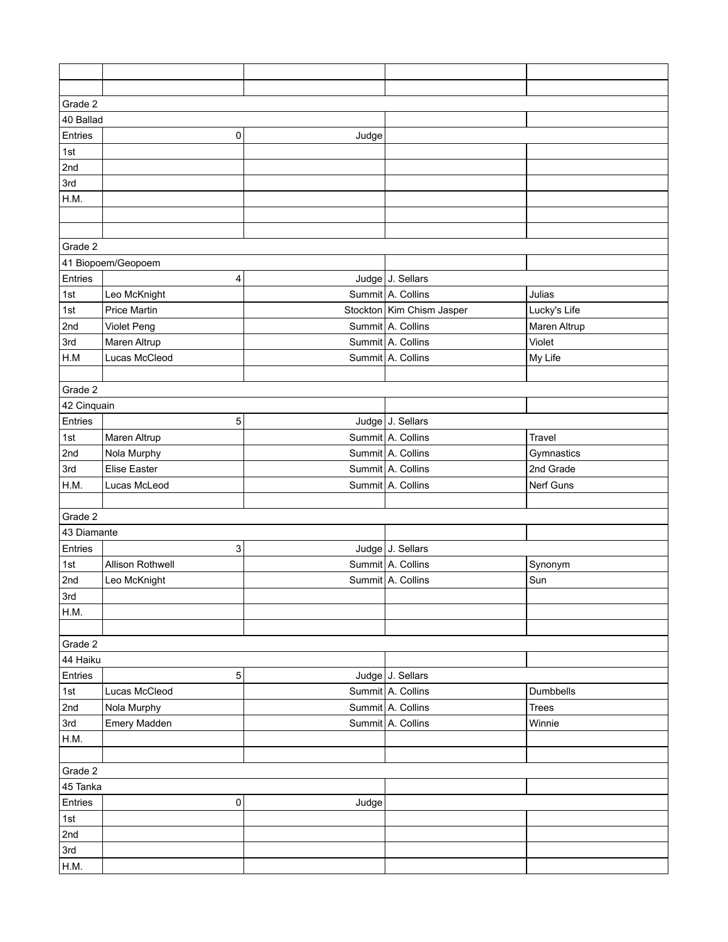| Grade 2            |                         |       |                           |              |  |  |
|--------------------|-------------------------|-------|---------------------------|--------------|--|--|
| 40 Ballad          |                         |       |                           |              |  |  |
| Entries            | 0                       | Judge |                           |              |  |  |
| 1st                |                         |       |                           |              |  |  |
| 2nd                |                         |       |                           |              |  |  |
| 3rd                |                         |       |                           |              |  |  |
| H.M.               |                         |       |                           |              |  |  |
|                    |                         |       |                           |              |  |  |
|                    |                         |       |                           |              |  |  |
| Grade 2            |                         |       |                           |              |  |  |
| 41 Biopoem/Geopoem |                         |       |                           |              |  |  |
| Entries            | 4                       |       | Judge J. Sellars          |              |  |  |
| 1st                | Leo McKnight            |       | Summit A. Collins         | Julias       |  |  |
| 1st                | <b>Price Martin</b>     |       | Stockton Kim Chism Jasper | Lucky's Life |  |  |
| 2nd                | Violet Peng             |       | Summit A. Collins         | Maren Altrup |  |  |
| 3rd                | Maren Altrup            |       | Summit A. Collins         | Violet       |  |  |
| H.M                | Lucas McCleod           |       | Summit A. Collins         | My Life      |  |  |
|                    |                         |       |                           |              |  |  |
| Grade 2            |                         |       |                           |              |  |  |
| 42 Cinquain        |                         |       |                           |              |  |  |
| Entries            | 5                       |       | Judge J. Sellars          |              |  |  |
| 1st                | Maren Altrup            |       | Summit A. Collins         | Travel       |  |  |
| 2nd                | Nola Murphy             |       | Summit A. Collins         | Gymnastics   |  |  |
| 3rd                | <b>Elise Easter</b>     |       | Summit A. Collins         | 2nd Grade    |  |  |
| H.M.               | Lucas McLeod            |       | Summit A. Collins         | Nerf Guns    |  |  |
|                    |                         |       |                           |              |  |  |
| Grade 2            |                         |       |                           |              |  |  |
| 43 Diamante        |                         |       |                           |              |  |  |
| Entries            | 3                       |       | Judge J. Sellars          |              |  |  |
| 1st                | <b>Allison Rothwell</b> |       | Summit A. Collins         | Synonym      |  |  |
| 2nd                | Leo McKnight            |       | Summit A. Collins         | Sun          |  |  |
| 3rd                |                         |       |                           |              |  |  |
| H.M.               |                         |       |                           |              |  |  |
|                    |                         |       |                           |              |  |  |
| Grade 2            |                         |       |                           |              |  |  |
| 44 Haiku           |                         |       |                           |              |  |  |
| Entries            | 5                       |       | Judge J. Sellars          |              |  |  |
| 1st                | Lucas McCleod           |       | Summit A. Collins         | Dumbbells    |  |  |
| 2nd                | Nola Murphy             |       | Summit A. Collins         | <b>Trees</b> |  |  |
| 3rd                | Emery Madden            |       | Summit A. Collins         | Winnie       |  |  |
| H.M.               |                         |       |                           |              |  |  |
|                    |                         |       |                           |              |  |  |
| Grade 2            |                         |       |                           |              |  |  |
| 45 Tanka           |                         |       |                           |              |  |  |
| Entries            | 0                       | Judge |                           |              |  |  |
| 1st                |                         |       |                           |              |  |  |
| 2 <sub>nd</sub>    |                         |       |                           |              |  |  |
| 3rd                |                         |       |                           |              |  |  |
| H.M.               |                         |       |                           |              |  |  |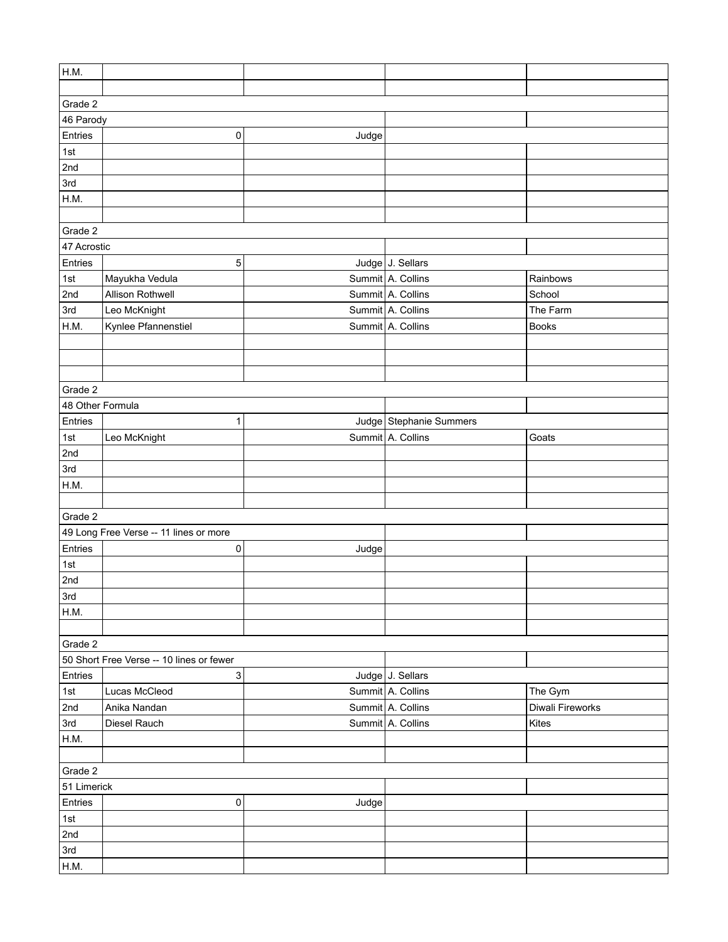| H.M.             |                                          |       |                         |                  |  |  |
|------------------|------------------------------------------|-------|-------------------------|------------------|--|--|
|                  |                                          |       |                         |                  |  |  |
| Grade 2          |                                          |       |                         |                  |  |  |
| 46 Parody        |                                          |       |                         |                  |  |  |
| Entries          | 0                                        | Judge |                         |                  |  |  |
| 1st              |                                          |       |                         |                  |  |  |
| 2nd              |                                          |       |                         |                  |  |  |
| 3rd              |                                          |       |                         |                  |  |  |
| H.M.             |                                          |       |                         |                  |  |  |
|                  |                                          |       |                         |                  |  |  |
| Grade 2          |                                          |       |                         |                  |  |  |
| 47 Acrostic      |                                          |       |                         |                  |  |  |
| Entries          | 5                                        |       | Judge J. Sellars        |                  |  |  |
| 1st              | Mayukha Vedula                           |       | Summit A. Collins       | Rainbows         |  |  |
| 2nd              | Allison Rothwell                         |       | Summit A. Collins       | School           |  |  |
| 3rd              | Leo McKnight                             |       | Summit A. Collins       | The Farm         |  |  |
| H.M.             | Kynlee Pfannenstiel                      |       | Summit A. Collins       | <b>Books</b>     |  |  |
|                  |                                          |       |                         |                  |  |  |
|                  |                                          |       |                         |                  |  |  |
|                  |                                          |       |                         |                  |  |  |
| Grade 2          |                                          |       |                         |                  |  |  |
| 48 Other Formula |                                          |       |                         |                  |  |  |
| Entries          | 1                                        |       | Judge Stephanie Summers |                  |  |  |
| 1st              | Leo McKnight                             |       | Summit A. Collins       | Goats            |  |  |
| 2nd              |                                          |       |                         |                  |  |  |
| 3rd              |                                          |       |                         |                  |  |  |
| H.M.             |                                          |       |                         |                  |  |  |
|                  |                                          |       |                         |                  |  |  |
| Grade 2          |                                          |       |                         |                  |  |  |
|                  | 49 Long Free Verse -- 11 lines or more   |       |                         |                  |  |  |
| Entries          | $\mathsf 0$                              | Judge |                         |                  |  |  |
| 1st              |                                          |       |                         |                  |  |  |
| 2nd              |                                          |       |                         |                  |  |  |
| 3rd              |                                          |       |                         |                  |  |  |
| H.M.             |                                          |       |                         |                  |  |  |
|                  |                                          |       |                         |                  |  |  |
| Grade 2          |                                          |       |                         |                  |  |  |
|                  | 50 Short Free Verse -- 10 lines or fewer |       |                         |                  |  |  |
| Entries          | 3                                        |       | Judge J. Sellars        |                  |  |  |
| 1st              | Lucas McCleod                            |       | Summit A. Collins       | The Gym          |  |  |
| 2nd              | Anika Nandan                             |       | Summit A. Collins       | Diwali Fireworks |  |  |
| 3rd              | Diesel Rauch                             |       | Summit A. Collins       | Kites            |  |  |
| H.M.             |                                          |       |                         |                  |  |  |
|                  |                                          |       |                         |                  |  |  |
| Grade 2          |                                          |       |                         |                  |  |  |
| 51 Limerick      |                                          |       |                         |                  |  |  |
| Entries          | 0                                        | Judge |                         |                  |  |  |
| 1st              |                                          |       |                         |                  |  |  |
| 2nd              |                                          |       |                         |                  |  |  |
| 3rd              |                                          |       |                         |                  |  |  |
| H.M.             |                                          |       |                         |                  |  |  |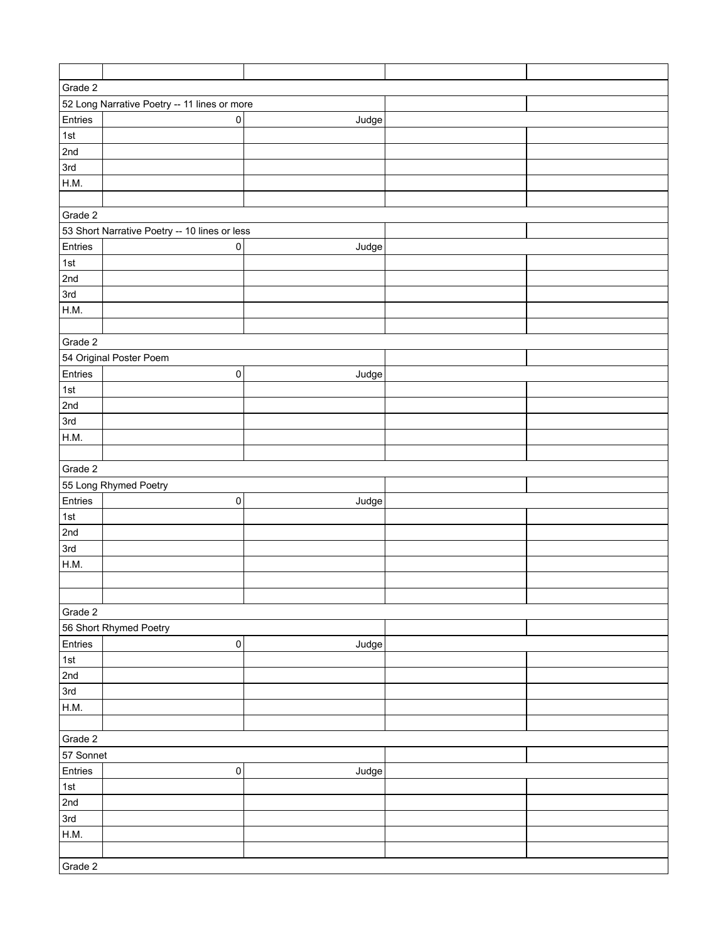| Grade 2     |                                               |       |  |  |  |  |
|-------------|-----------------------------------------------|-------|--|--|--|--|
|             | 52 Long Narrative Poetry -- 11 lines or more  |       |  |  |  |  |
| Entries     | $\pmb{0}$                                     | Judge |  |  |  |  |
| 1st         |                                               |       |  |  |  |  |
| 2nd         |                                               |       |  |  |  |  |
| 3rd         |                                               |       |  |  |  |  |
| H.M.        |                                               |       |  |  |  |  |
|             |                                               |       |  |  |  |  |
| Grade 2     |                                               |       |  |  |  |  |
|             |                                               |       |  |  |  |  |
|             | 53 Short Narrative Poetry -- 10 lines or less |       |  |  |  |  |
| Entries     | $\pmb{0}$                                     | Judge |  |  |  |  |
| $\vert$ 1st |                                               |       |  |  |  |  |
| 2nd         |                                               |       |  |  |  |  |
| 3rd         |                                               |       |  |  |  |  |
| H.M.        |                                               |       |  |  |  |  |
|             |                                               |       |  |  |  |  |
| Grade 2     |                                               |       |  |  |  |  |
|             | 54 Original Poster Poem                       |       |  |  |  |  |
| Entries     | $\mathsf 0$                                   | Judge |  |  |  |  |
| $\vert$ 1st |                                               |       |  |  |  |  |
| 2nd         |                                               |       |  |  |  |  |
| 3rd         |                                               |       |  |  |  |  |
| H.M.        |                                               |       |  |  |  |  |
|             |                                               |       |  |  |  |  |
| Grade 2     |                                               |       |  |  |  |  |
|             | 55 Long Rhymed Poetry                         |       |  |  |  |  |
| Entries     | $\pmb{0}$                                     | Judge |  |  |  |  |
| 1st         |                                               |       |  |  |  |  |
| 2nd         |                                               |       |  |  |  |  |
| 3rd         |                                               |       |  |  |  |  |
| H.M.        |                                               |       |  |  |  |  |
|             |                                               |       |  |  |  |  |
|             |                                               |       |  |  |  |  |
| Grade 2     |                                               |       |  |  |  |  |
|             | 56 Short Rhymed Poetry                        |       |  |  |  |  |
| Entries     | $\pmb{0}$                                     | Judge |  |  |  |  |
| 1st         |                                               |       |  |  |  |  |
| 2nd         |                                               |       |  |  |  |  |
| 3rd         |                                               |       |  |  |  |  |
| H.M.        |                                               |       |  |  |  |  |
|             |                                               |       |  |  |  |  |
| Grade 2     |                                               |       |  |  |  |  |
| 57 Sonnet   |                                               |       |  |  |  |  |
| Entries     | $\mathsf 0$                                   | Judge |  |  |  |  |
| 1st         |                                               |       |  |  |  |  |
| 2nd         |                                               |       |  |  |  |  |
| 3rd         |                                               |       |  |  |  |  |
|             |                                               |       |  |  |  |  |
| H.M.        |                                               |       |  |  |  |  |
|             |                                               |       |  |  |  |  |
| Grade 2     |                                               |       |  |  |  |  |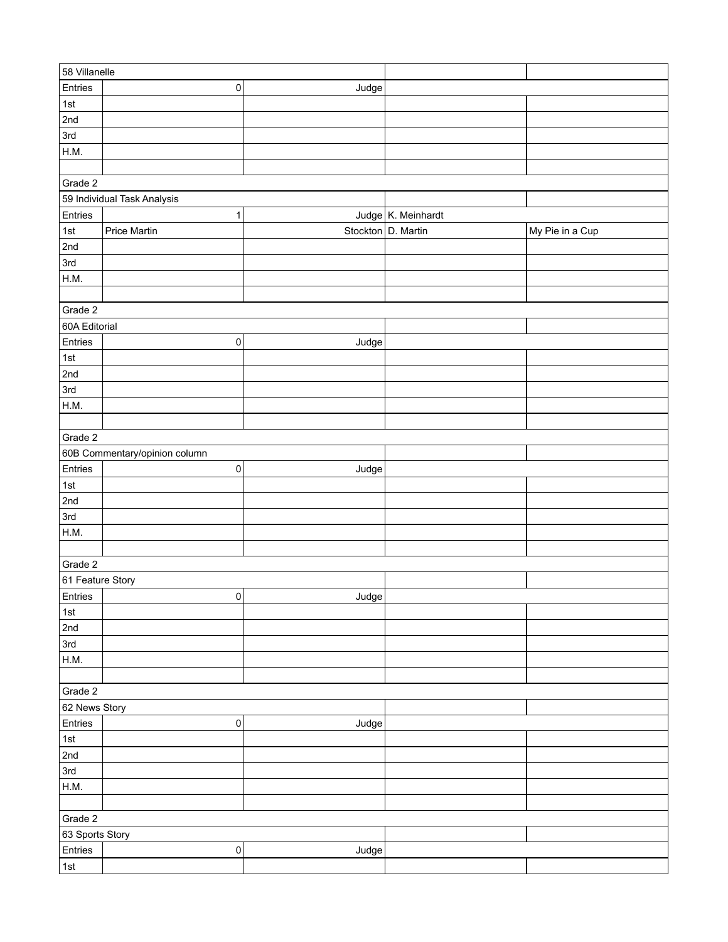| 58 Villanelle    |                               |                    |                    |                 |
|------------------|-------------------------------|--------------------|--------------------|-----------------|
| Entries          | $\pmb{0}$                     | Judge              |                    |                 |
| 1st              |                               |                    |                    |                 |
| 2nd              |                               |                    |                    |                 |
| 3rd              |                               |                    |                    |                 |
| H.M.             |                               |                    |                    |                 |
|                  |                               |                    |                    |                 |
| Grade 2          |                               |                    |                    |                 |
|                  | 59 Individual Task Analysis   |                    |                    |                 |
| Entries          | 1                             |                    | Judge K. Meinhardt |                 |
| 1st              | <b>Price Martin</b>           | Stockton D. Martin |                    | My Pie in a Cup |
| 2nd              |                               |                    |                    |                 |
| 3rd              |                               |                    |                    |                 |
| H.M.             |                               |                    |                    |                 |
|                  |                               |                    |                    |                 |
| Grade 2          |                               |                    |                    |                 |
| 60A Editorial    |                               |                    |                    |                 |
| Entries          | $\mathsf 0$                   | Judge              |                    |                 |
| 1st              |                               |                    |                    |                 |
| 2nd              |                               |                    |                    |                 |
| 3rd              |                               |                    |                    |                 |
| H.M.             |                               |                    |                    |                 |
|                  |                               |                    |                    |                 |
| Grade 2          |                               |                    |                    |                 |
|                  |                               |                    |                    |                 |
|                  | 60B Commentary/opinion column |                    |                    |                 |
| Entries          | $\pmb{0}$                     | Judge              |                    |                 |
| 1st              |                               |                    |                    |                 |
| 2nd              |                               |                    |                    |                 |
| 3rd              |                               |                    |                    |                 |
| H.M.             |                               |                    |                    |                 |
|                  |                               |                    |                    |                 |
| Grade 2          |                               |                    |                    |                 |
| 61 Feature Story |                               |                    |                    |                 |
| Entries          | 0                             | Judge              |                    |                 |
| 1st              |                               |                    |                    |                 |
| 2nd              |                               |                    |                    |                 |
| 3rd              |                               |                    |                    |                 |
| H.M.             |                               |                    |                    |                 |
|                  |                               |                    |                    |                 |
| Grade 2          |                               |                    |                    |                 |
| 62 News Story    |                               |                    |                    |                 |
| Entries          | $\mathsf 0$                   | Judge              |                    |                 |
| 1st              |                               |                    |                    |                 |
| 2 <sub>nd</sub>  |                               |                    |                    |                 |
| 3rd              |                               |                    |                    |                 |
| H.M.             |                               |                    |                    |                 |
|                  |                               |                    |                    |                 |
| Grade 2          |                               |                    |                    |                 |
| 63 Sports Story  |                               |                    |                    |                 |
| Entries          | $\mathsf 0$                   | Judge              |                    |                 |
| 1st              |                               |                    |                    |                 |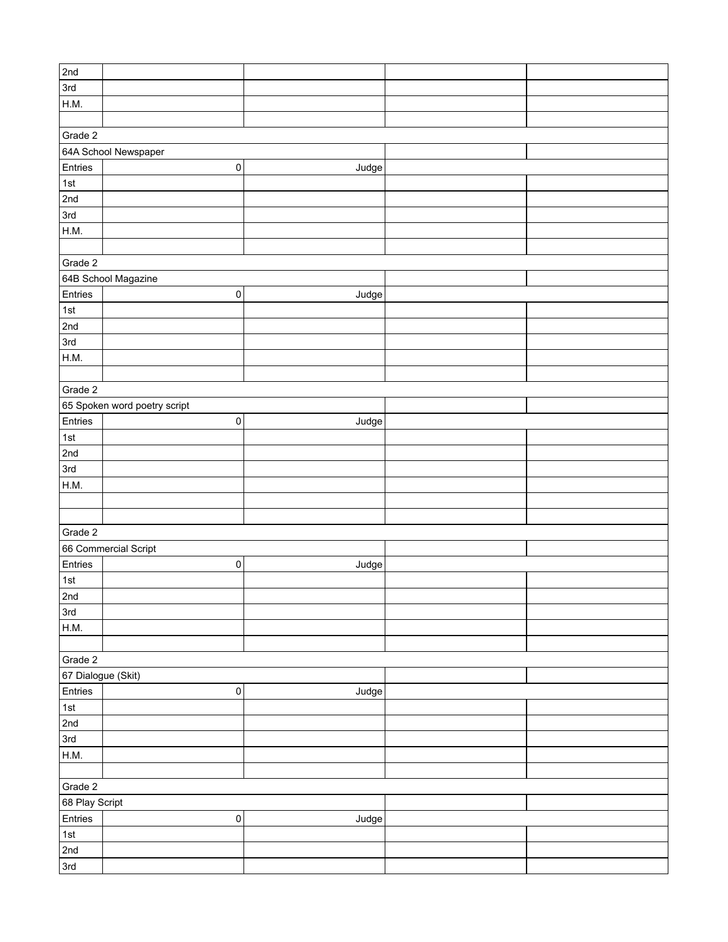| 2nd                |                              |       |  |  |  |
|--------------------|------------------------------|-------|--|--|--|
| 3rd                |                              |       |  |  |  |
| H.M.               |                              |       |  |  |  |
|                    |                              |       |  |  |  |
|                    |                              |       |  |  |  |
| Grade 2            |                              |       |  |  |  |
|                    | 64A School Newspaper         |       |  |  |  |
| Entries            | $\pmb{0}$                    | Judge |  |  |  |
| $\vert$ 1st        |                              |       |  |  |  |
| 2nd                |                              |       |  |  |  |
| 3rd                |                              |       |  |  |  |
| H.M.               |                              |       |  |  |  |
|                    |                              |       |  |  |  |
| Grade 2            |                              |       |  |  |  |
|                    | 64B School Magazine          |       |  |  |  |
| Entries            | $\pmb{0}$                    | Judge |  |  |  |
| 1st                |                              |       |  |  |  |
| 2nd                |                              |       |  |  |  |
| 3rd                |                              |       |  |  |  |
|                    |                              |       |  |  |  |
| H.M.               |                              |       |  |  |  |
|                    |                              |       |  |  |  |
| Grade 2            |                              |       |  |  |  |
|                    | 65 Spoken word poetry script |       |  |  |  |
| Entries            | $\pmb{0}$                    | Judge |  |  |  |
| 1st                |                              |       |  |  |  |
| 2nd                |                              |       |  |  |  |
| 3rd                |                              |       |  |  |  |
| H.M.               |                              |       |  |  |  |
|                    |                              |       |  |  |  |
|                    |                              |       |  |  |  |
| Grade 2            |                              |       |  |  |  |
|                    | 66 Commercial Script         |       |  |  |  |
| Entries            | $\pmb{0}$                    |       |  |  |  |
|                    |                              | Judge |  |  |  |
| 1st                |                              |       |  |  |  |
| $\sqrt{2nd}$       |                              |       |  |  |  |
| 3rd                |                              |       |  |  |  |
| H.M.               |                              |       |  |  |  |
|                    |                              |       |  |  |  |
| Grade 2            |                              |       |  |  |  |
| 67 Dialogue (Skit) |                              |       |  |  |  |
| Entries            | $\pmb{0}$                    | Judge |  |  |  |
| 1st                |                              |       |  |  |  |
| 2nd                |                              |       |  |  |  |
| 3rd                |                              |       |  |  |  |
| H.M.               |                              |       |  |  |  |
|                    |                              |       |  |  |  |
|                    |                              |       |  |  |  |
| Grade 2            |                              |       |  |  |  |
| 68 Play Script     |                              |       |  |  |  |
| Entries            | $\pmb{0}$                    | Judge |  |  |  |
| $\vert$ 1st        |                              |       |  |  |  |
| 2nd                |                              |       |  |  |  |
| 3rd                |                              |       |  |  |  |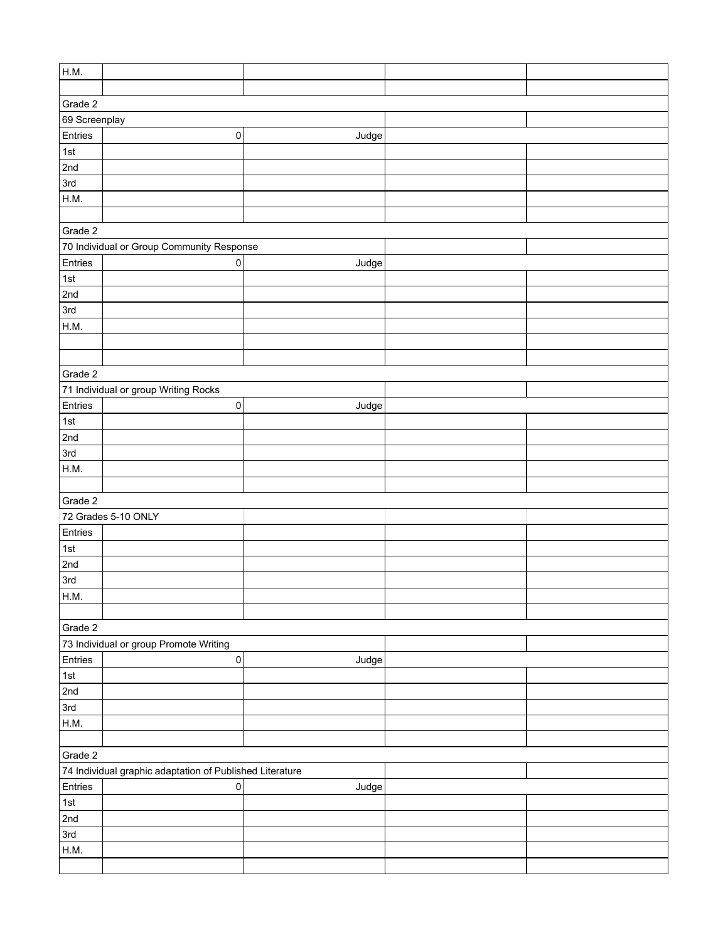| H.M.                                                              |                                                          |       |  |  |  |  |  |  |
|-------------------------------------------------------------------|----------------------------------------------------------|-------|--|--|--|--|--|--|
|                                                                   |                                                          |       |  |  |  |  |  |  |
| Grade 2                                                           |                                                          |       |  |  |  |  |  |  |
| 69 Screenplay                                                     |                                                          |       |  |  |  |  |  |  |
| Entries                                                           | $\pmb{0}$                                                | Judge |  |  |  |  |  |  |
| $\vert$ 1st                                                       |                                                          |       |  |  |  |  |  |  |
| 2nd                                                               |                                                          |       |  |  |  |  |  |  |
| 3rd                                                               |                                                          |       |  |  |  |  |  |  |
| H.M.                                                              |                                                          |       |  |  |  |  |  |  |
|                                                                   |                                                          |       |  |  |  |  |  |  |
| Grade 2                                                           |                                                          |       |  |  |  |  |  |  |
|                                                                   |                                                          |       |  |  |  |  |  |  |
| 70 Individual or Group Community Response<br>Entries<br>$\pmb{0}$ |                                                          |       |  |  |  |  |  |  |
| 1st                                                               |                                                          | Judge |  |  |  |  |  |  |
| 2nd                                                               |                                                          |       |  |  |  |  |  |  |
| 3rd                                                               |                                                          |       |  |  |  |  |  |  |
|                                                                   |                                                          |       |  |  |  |  |  |  |
| H.M.                                                              |                                                          |       |  |  |  |  |  |  |
|                                                                   |                                                          |       |  |  |  |  |  |  |
|                                                                   |                                                          |       |  |  |  |  |  |  |
| Grade 2                                                           |                                                          |       |  |  |  |  |  |  |
|                                                                   | 71 Individual or group Writing Rocks                     |       |  |  |  |  |  |  |
| Entries                                                           | $\pmb{0}$                                                | Judge |  |  |  |  |  |  |
| 1st                                                               |                                                          |       |  |  |  |  |  |  |
| 2nd                                                               |                                                          |       |  |  |  |  |  |  |
| 3rd                                                               |                                                          |       |  |  |  |  |  |  |
| H.M.                                                              |                                                          |       |  |  |  |  |  |  |
|                                                                   |                                                          |       |  |  |  |  |  |  |
| Grade 2                                                           |                                                          |       |  |  |  |  |  |  |
|                                                                   | 72 Grades 5-10 ONLY                                      |       |  |  |  |  |  |  |
| Entries                                                           |                                                          |       |  |  |  |  |  |  |
| $\vert$ 1st                                                       |                                                          |       |  |  |  |  |  |  |
| 2nd                                                               |                                                          |       |  |  |  |  |  |  |
| 3rd                                                               |                                                          |       |  |  |  |  |  |  |
| H.M.                                                              |                                                          |       |  |  |  |  |  |  |
|                                                                   |                                                          |       |  |  |  |  |  |  |
| Grade 2                                                           |                                                          |       |  |  |  |  |  |  |
|                                                                   | 73 Individual or group Promote Writing                   |       |  |  |  |  |  |  |
| Entries                                                           | $\mathsf{O}\xspace$                                      | Judge |  |  |  |  |  |  |
| $\vert$ 1st                                                       |                                                          |       |  |  |  |  |  |  |
| 2nd                                                               |                                                          |       |  |  |  |  |  |  |
| 3rd                                                               |                                                          |       |  |  |  |  |  |  |
| H.M.                                                              |                                                          |       |  |  |  |  |  |  |
|                                                                   |                                                          |       |  |  |  |  |  |  |
| Grade 2                                                           |                                                          |       |  |  |  |  |  |  |
|                                                                   | 74 Individual graphic adaptation of Published Literature |       |  |  |  |  |  |  |
| Entries<br>$\mathsf{O}\xspace$<br>Judge                           |                                                          |       |  |  |  |  |  |  |
| 1st                                                               |                                                          |       |  |  |  |  |  |  |
| 2nd                                                               |                                                          |       |  |  |  |  |  |  |
| 3rd                                                               |                                                          |       |  |  |  |  |  |  |
| H.M.                                                              |                                                          |       |  |  |  |  |  |  |
|                                                                   |                                                          |       |  |  |  |  |  |  |